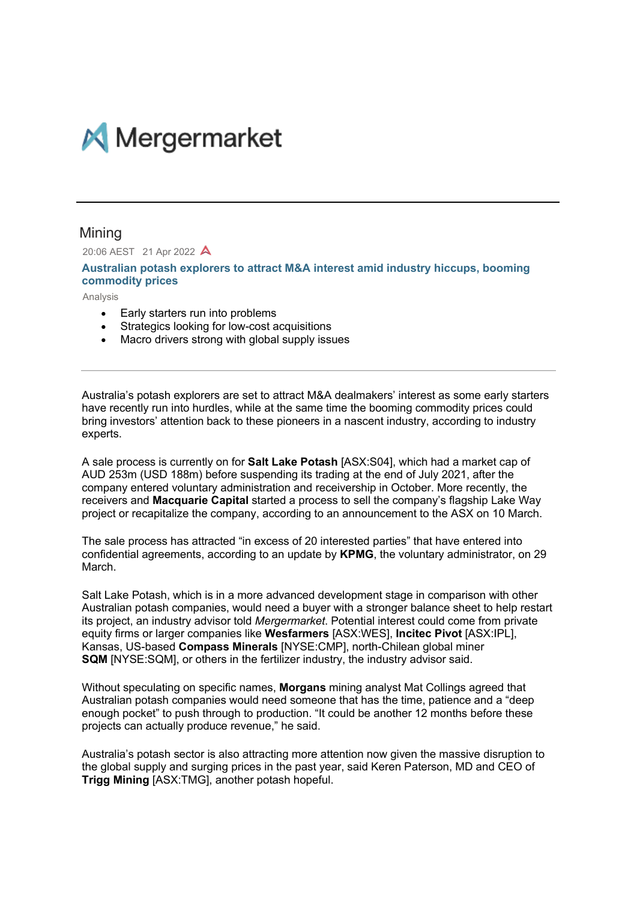

## Mining

20:06 AEST 21 Apr 2022 A

**Australian potash explorers to attract M&A interest amid industry hiccups, booming commodity prices**

Analysis

- Early starters run into problems
- Strategics looking for low-cost acquisitions
- Macro drivers strong with global supply issues

Australia's potash explorers are set to attract M&A dealmakers' interest as some early starters have recently run into hurdles, while at the same time the booming commodity prices could bring investors' attention back to these pioneers in a nascent industry, according to industry experts.

A sale process is currently on for **Salt Lake Potash** [ASX:S04], which had a market cap of AUD 253m (USD 188m) before suspending its trading at the end of July 2021, after the company entered voluntary administration and receivership in October. More recently, the receivers and **Macquarie Capital** started a process to sell the company's flagship Lake Way project or recapitalize the company, according to an announcement to the ASX on 10 March.

The sale process has attracted "in excess of 20 interested parties" that have entered into confidential agreements, according to an update by **KPMG**, the voluntary administrator, on 29 March.

Salt Lake Potash, which is in a more advanced development stage in comparison with other Australian potash companies, would need a buyer with a stronger balance sheet to help restart its project, an industry advisor told *Mergermarket*. Potential interest could come from private equity firms or larger companies like **Wesfarmers** [ASX:WES], **Incitec Pivot** [ASX:IPL], Kansas, US-based **Compass Minerals** [NYSE:CMP], north-Chilean global miner **SQM** [NYSE:SQM], or others in the fertilizer industry, the industry advisor said.

Without speculating on specific names, **Morgans** mining analyst Mat Collings agreed that Australian potash companies would need someone that has the time, patience and a "deep enough pocket" to push through to production. "It could be another 12 months before these projects can actually produce revenue," he said.

Australia's potash sector is also attracting more attention now given the massive disruption to the global supply and surging prices in the past year, said Keren Paterson, MD and CEO of **Trigg Mining** [ASX:TMG], another potash hopeful.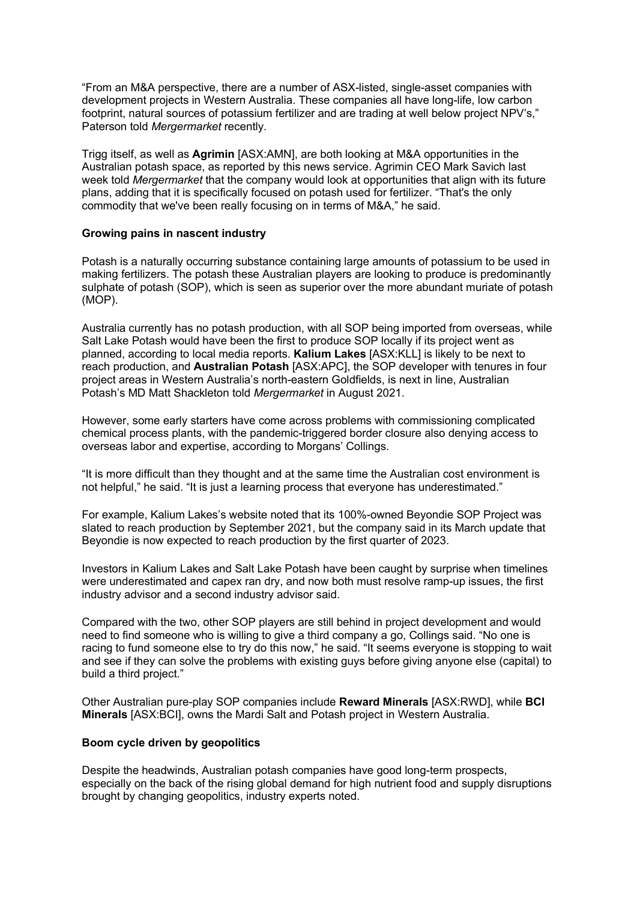"From an M&A perspective, there are a number of ASX-listed, single-asset companies with development projects in Western Australia. These companies all have long-life, low carbon footprint, natural sources of potassium fertilizer and are trading at well below project NPV's," Paterson told *Mergermarket* recently*.*

Trigg itself, as well as **Agrimin** [ASX:AMN], are both looking at M&A opportunities in the Australian potash space, as reported by this news service. Agrimin CEO Mark Savich last week told *Mergermarket* that the company would look at opportunities that align with its future plans, adding that it is specifically focused on potash used for fertilizer. "That's the only commodity that we've been really focusing on in terms of M&A," he said.

## **Growing pains in nascent industry**

Potash is a naturally occurring substance containing large amounts of potassium to be used in making fertilizers. The potash these Australian players are looking to produce is predominantly sulphate of potash (SOP), which is seen as superior over the more abundant muriate of potash (MOP).

Australia currently has no potash production, with all SOP being imported from overseas, while Salt Lake Potash would have been the first to produce SOP locally if its project went as planned, according to local media reports. **Kalium Lakes** [ASX:KLL] is likely to be next to reach production, and **Australian Potash** [ASX:APC], the SOP developer with tenures in four project areas in Western Australia's north-eastern Goldfields, is next in line, Australian Potash's MD Matt Shackleton told *Mergermarket* in August 2021.

However, some early starters have come across problems with commissioning complicated chemical process plants, with the pandemic-triggered border closure also denying access to overseas labor and expertise, according to Morgans' Collings.

"It is more difficult than they thought and at the same time the Australian cost environment is not helpful," he said. "It is just a learning process that everyone has underestimated."

For example, Kalium Lakes's website noted that its 100%-owned Beyondie SOP Project was slated to reach production by September 2021, but the company said in its March update that Beyondie is now expected to reach production by the first quarter of 2023.

Investors in Kalium Lakes and Salt Lake Potash have been caught by surprise when timelines were underestimated and capex ran dry, and now both must resolve ramp-up issues, the first industry advisor and a second industry advisor said.

Compared with the two, other SOP players are still behind in project development and would need to find someone who is willing to give a third company a go, Collings said. "No one is racing to fund someone else to try do this now," he said. "It seems everyone is stopping to wait and see if they can solve the problems with existing guys before giving anyone else (capital) to build a third project."

Other Australian pure-play SOP companies include **Reward Minerals** [ASX:RWD], while **BCI Minerals** [ASX:BCI], owns the Mardi Salt and Potash project in Western Australia.

## **Boom cycle driven by geopolitics**

Despite the headwinds, Australian potash companies have good long-term prospects, especially on the back of the rising global demand for high nutrient food and supply disruptions brought by changing geopolitics, industry experts noted.